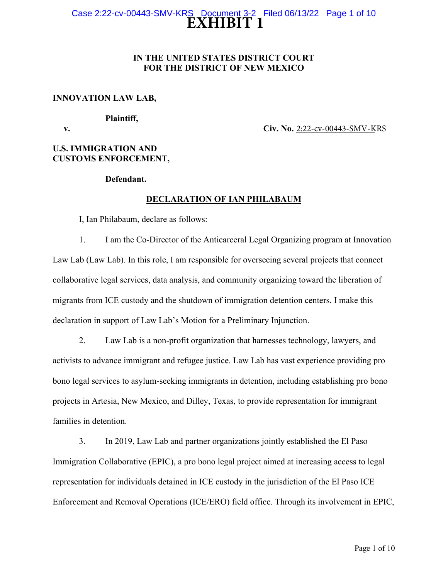# **EXHIBIT 1** Case 2:22-cv-00443-SMV-KRS Document 3-2 Filed 06/13/22 Page 1 of 10

# **IN THE UNITED STATES DISTRICT COURT FOR THE DISTRICT OF NEW MEXICO**

## **INNOVATION LAW LAB,**

#### **Plaintiff,**

**v.** Civ. No. <u>2:22-cv-00443-SMV-K</u>RS

# **U.S. IMMIGRATION AND CUSTOMS ENFORCEMENT,**

### **Defendant.**

# **DECLARATION OF IAN PHILABAUM**

I, Ian Philabaum, declare as follows:

1. I am the Co-Director of the Anticarceral Legal Organizing program at Innovation Law Lab (Law Lab). In this role, I am responsible for overseeing several projects that connect collaborative legal services, data analysis, and community organizing toward the liberation of migrants from ICE custody and the shutdown of immigration detention centers. I make this declaration in support of Law Lab's Motion for a Preliminary Injunction.

2. Law Lab is a non-profit organization that harnesses technology, lawyers, and activists to advance immigrant and refugee justice. Law Lab has vast experience providing pro bono legal services to asylum-seeking immigrants in detention, including establishing pro bono projects in Artesia, New Mexico, and Dilley, Texas, to provide representation for immigrant families in detention.

3. In 2019, Law Lab and partner organizations jointly established the El Paso Immigration Collaborative (EPIC), a pro bono legal project aimed at increasing access to legal representation for individuals detained in ICE custody in the jurisdiction of the El Paso ICE Enforcement and Removal Operations (ICE/ERO) field office. Through its involvement in EPIC,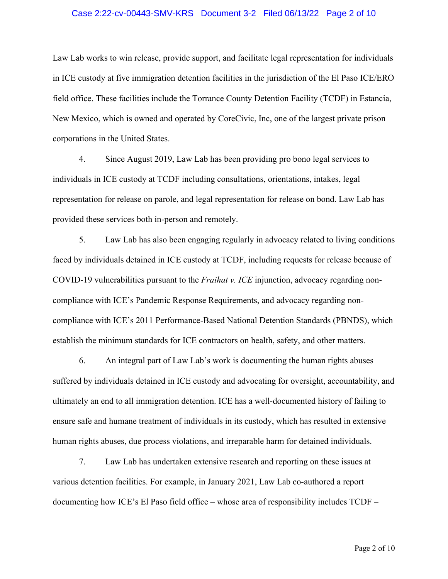#### Case 2:22-cv-00443-SMV-KRS Document 3-2 Filed 06/13/22 Page 2 of 10

Law Lab works to win release, provide support, and facilitate legal representation for individuals in ICE custody at five immigration detention facilities in the jurisdiction of the El Paso ICE/ERO field office. These facilities include the Torrance County Detention Facility (TCDF) in Estancia, New Mexico, which is owned and operated by CoreCivic, Inc, one of the largest private prison corporations in the United States.

4. Since August 2019, Law Lab has been providing pro bono legal services to individuals in ICE custody at TCDF including consultations, orientations, intakes, legal representation for release on parole, and legal representation for release on bond. Law Lab has provided these services both in-person and remotely.

5. Law Lab has also been engaging regularly in advocacy related to living conditions faced by individuals detained in ICE custody at TCDF, including requests for release because of COVID-19 vulnerabilities pursuant to the *Fraihat v. ICE* injunction, advocacy regarding noncompliance with ICE's Pandemic Response Requirements, and advocacy regarding noncompliance with ICE's 2011 Performance-Based National Detention Standards (PBNDS), which establish the minimum standards for ICE contractors on health, safety, and other matters.

6. An integral part of Law Lab's work is documenting the human rights abuses suffered by individuals detained in ICE custody and advocating for oversight, accountability, and ultimately an end to all immigration detention. ICE has a well-documented history of failing to ensure safe and humane treatment of individuals in its custody, which has resulted in extensive human rights abuses, due process violations, and irreparable harm for detained individuals.

7. Law Lab has undertaken extensive research and reporting on these issues at various detention facilities. For example, in January 2021, Law Lab co-authored a report documenting how ICE's El Paso field office – whose area of responsibility includes TCDF –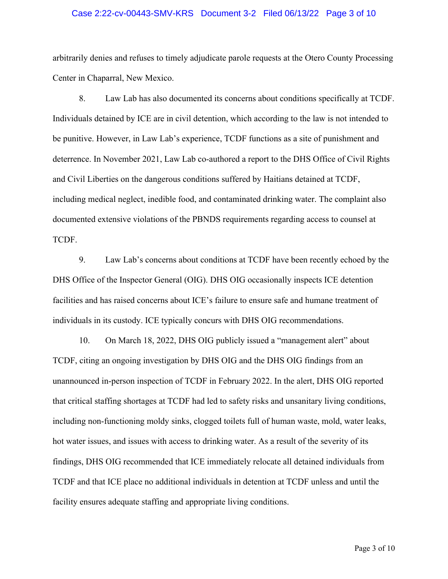#### Case 2:22-cv-00443-SMV-KRS Document 3-2 Filed 06/13/22 Page 3 of 10

arbitrarily denies and refuses to timely adjudicate parole requests at the Otero County Processing Center in Chaparral, New Mexico.

8. Law Lab has also documented its concerns about conditions specifically at TCDF. Individuals detained by ICE are in civil detention, which according to the law is not intended to be punitive. However, in Law Lab's experience, TCDF functions as a site of punishment and deterrence. In November 2021, Law Lab co-authored a report to the DHS Office of Civil Rights and Civil Liberties on the dangerous conditions suffered by Haitians detained at TCDF, including medical neglect, inedible food, and contaminated drinking water. The complaint also documented extensive violations of the PBNDS requirements regarding access to counsel at TCDF.

9. Law Lab's concerns about conditions at TCDF have been recently echoed by the DHS Office of the Inspector General (OIG). DHS OIG occasionally inspects ICE detention facilities and has raised concerns about ICE's failure to ensure safe and humane treatment of individuals in its custody. ICE typically concurs with DHS OIG recommendations.

10. On March 18, 2022, DHS OIG publicly issued a "management alert" about TCDF, citing an ongoing investigation by DHS OIG and the DHS OIG findings from an unannounced in-person inspection of TCDF in February 2022. In the alert, DHS OIG reported that critical staffing shortages at TCDF had led to safety risks and unsanitary living conditions, including non-functioning moldy sinks, clogged toilets full of human waste, mold, water leaks, hot water issues, and issues with access to drinking water. As a result of the severity of its findings, DHS OIG recommended that ICE immediately relocate all detained individuals from TCDF and that ICE place no additional individuals in detention at TCDF unless and until the facility ensures adequate staffing and appropriate living conditions.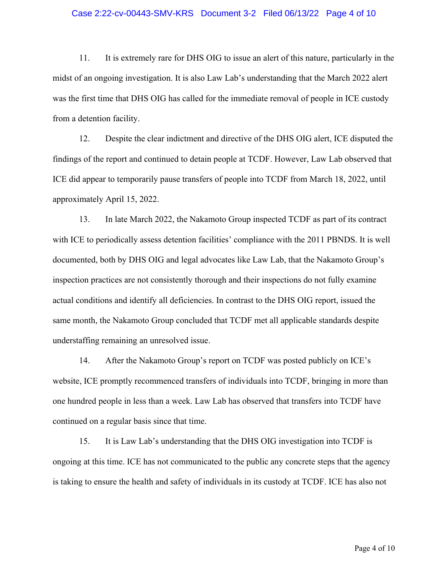#### Case 2:22-cv-00443-SMV-KRS Document 3-2 Filed 06/13/22 Page 4 of 10

11. It is extremely rare for DHS OIG to issue an alert of this nature, particularly in the midst of an ongoing investigation. It is also Law Lab's understanding that the March 2022 alert was the first time that DHS OIG has called for the immediate removal of people in ICE custody from a detention facility.

12. Despite the clear indictment and directive of the DHS OIG alert, ICE disputed the findings of the report and continued to detain people at TCDF. However, Law Lab observed that ICE did appear to temporarily pause transfers of people into TCDF from March 18, 2022, until approximately April 15, 2022.

13. In late March 2022, the Nakamoto Group inspected TCDF as part of its contract with ICE to periodically assess detention facilities' compliance with the 2011 PBNDS. It is well documented, both by DHS OIG and legal advocates like Law Lab, that the Nakamoto Group's inspection practices are not consistently thorough and their inspections do not fully examine actual conditions and identify all deficiencies. In contrast to the DHS OIG report, issued the same month, the Nakamoto Group concluded that TCDF met all applicable standards despite understaffing remaining an unresolved issue.

14. After the Nakamoto Group's report on TCDF was posted publicly on ICE's website, ICE promptly recommenced transfers of individuals into TCDF, bringing in more than one hundred people in less than a week. Law Lab has observed that transfers into TCDF have continued on a regular basis since that time.

15. It is Law Lab's understanding that the DHS OIG investigation into TCDF is ongoing at this time. ICE has not communicated to the public any concrete steps that the agency is taking to ensure the health and safety of individuals in its custody at TCDF. ICE has also not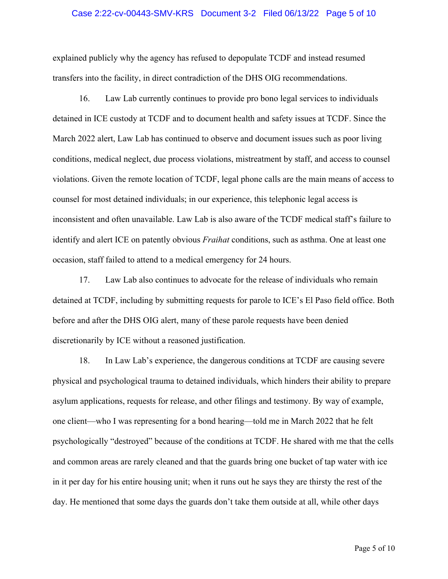#### Case 2:22-cv-00443-SMV-KRS Document 3-2 Filed 06/13/22 Page 5 of 10

explained publicly why the agency has refused to depopulate TCDF and instead resumed transfers into the facility, in direct contradiction of the DHS OIG recommendations.

16. Law Lab currently continues to provide pro bono legal services to individuals detained in ICE custody at TCDF and to document health and safety issues at TCDF. Since the March 2022 alert, Law Lab has continued to observe and document issues such as poor living conditions, medical neglect, due process violations, mistreatment by staff, and access to counsel violations. Given the remote location of TCDF, legal phone calls are the main means of access to counsel for most detained individuals; in our experience, this telephonic legal access is inconsistent and often unavailable. Law Lab is also aware of the TCDF medical staff's failure to identify and alert ICE on patently obvious *Fraihat* conditions, such as asthma. One at least one occasion, staff failed to attend to a medical emergency for 24 hours.

17. Law Lab also continues to advocate for the release of individuals who remain detained at TCDF, including by submitting requests for parole to ICE's El Paso field office. Both before and after the DHS OIG alert, many of these parole requests have been denied discretionarily by ICE without a reasoned justification.

18. In Law Lab's experience, the dangerous conditions at TCDF are causing severe physical and psychological trauma to detained individuals, which hinders their ability to prepare asylum applications, requests for release, and other filings and testimony. By way of example, one client—who I was representing for a bond hearing—told me in March 2022 that he felt psychologically "destroyed" because of the conditions at TCDF. He shared with me that the cells and common areas are rarely cleaned and that the guards bring one bucket of tap water with ice in it per day for his entire housing unit; when it runs out he says they are thirsty the rest of the day. He mentioned that some days the guards don't take them outside at all, while other days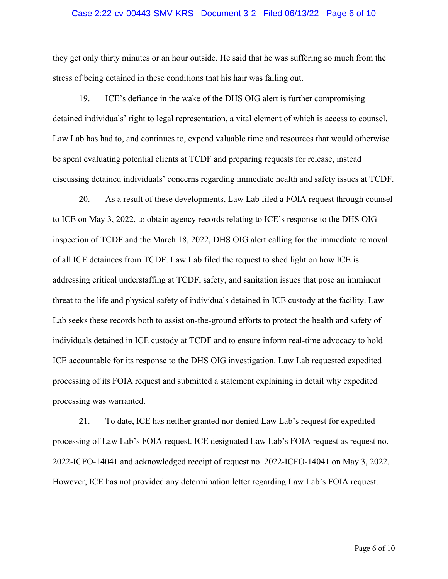#### Case 2:22-cv-00443-SMV-KRS Document 3-2 Filed 06/13/22 Page 6 of 10

they get only thirty minutes or an hour outside. He said that he was suffering so much from the stress of being detained in these conditions that his hair was falling out.

19. ICE's defiance in the wake of the DHS OIG alert is further compromising detained individuals' right to legal representation, a vital element of which is access to counsel. Law Lab has had to, and continues to, expend valuable time and resources that would otherwise be spent evaluating potential clients at TCDF and preparing requests for release, instead discussing detained individuals' concerns regarding immediate health and safety issues at TCDF.

20. As a result of these developments, Law Lab filed a FOIA request through counsel to ICE on May 3, 2022, to obtain agency records relating to ICE's response to the DHS OIG inspection of TCDF and the March 18, 2022, DHS OIG alert calling for the immediate removal of all ICE detainees from TCDF. Law Lab filed the request to shed light on how ICE is addressing critical understaffing at TCDF, safety, and sanitation issues that pose an imminent threat to the life and physical safety of individuals detained in ICE custody at the facility. Law Lab seeks these records both to assist on-the-ground efforts to protect the health and safety of individuals detained in ICE custody at TCDF and to ensure inform real-time advocacy to hold ICE accountable for its response to the DHS OIG investigation. Law Lab requested expedited processing of its FOIA request and submitted a statement explaining in detail why expedited processing was warranted.

21. To date, ICE has neither granted nor denied Law Lab's request for expedited processing of Law Lab's FOIA request. ICE designated Law Lab's FOIA request as request no. 2022-ICFO-14041 and acknowledged receipt of request no. 2022-ICFO-14041 on May 3, 2022. However, ICE has not provided any determination letter regarding Law Lab's FOIA request.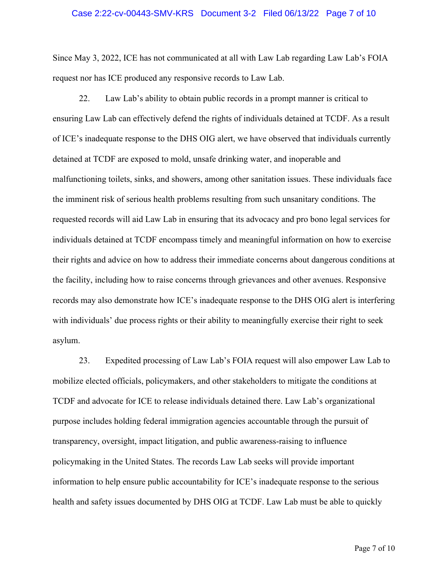#### Case 2:22-cv-00443-SMV-KRS Document 3-2 Filed 06/13/22 Page 7 of 10

Since May 3, 2022, ICE has not communicated at all with Law Lab regarding Law Lab's FOIA request nor has ICE produced any responsive records to Law Lab.

22. Law Lab's ability to obtain public records in a prompt manner is critical to ensuring Law Lab can effectively defend the rights of individuals detained at TCDF. As a result of ICE's inadequate response to the DHS OIG alert, we have observed that individuals currently detained at TCDF are exposed to mold, unsafe drinking water, and inoperable and malfunctioning toilets, sinks, and showers, among other sanitation issues. These individuals face the imminent risk of serious health problems resulting from such unsanitary conditions. The requested records will aid Law Lab in ensuring that its advocacy and pro bono legal services for individuals detained at TCDF encompass timely and meaningful information on how to exercise their rights and advice on how to address their immediate concerns about dangerous conditions at the facility, including how to raise concerns through grievances and other avenues. Responsive records may also demonstrate how ICE's inadequate response to the DHS OIG alert is interfering with individuals' due process rights or their ability to meaningfully exercise their right to seek asylum.

23. Expedited processing of Law Lab's FOIA request will also empower Law Lab to mobilize elected officials, policymakers, and other stakeholders to mitigate the conditions at TCDF and advocate for ICE to release individuals detained there. Law Lab's organizational purpose includes holding federal immigration agencies accountable through the pursuit of transparency, oversight, impact litigation, and public awareness-raising to influence policymaking in the United States. The records Law Lab seeks will provide important information to help ensure public accountability for ICE's inadequate response to the serious health and safety issues documented by DHS OIG at TCDF. Law Lab must be able to quickly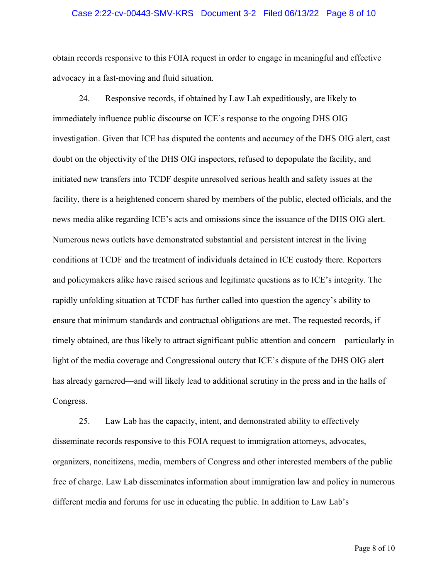#### Case 2:22-cv-00443-SMV-KRS Document 3-2 Filed 06/13/22 Page 8 of 10

obtain records responsive to this FOIA request in order to engage in meaningful and effective advocacy in a fast-moving and fluid situation.

24. Responsive records, if obtained by Law Lab expeditiously, are likely to immediately influence public discourse on ICE's response to the ongoing DHS OIG investigation. Given that ICE has disputed the contents and accuracy of the DHS OIG alert, cast doubt on the objectivity of the DHS OIG inspectors, refused to depopulate the facility, and initiated new transfers into TCDF despite unresolved serious health and safety issues at the facility, there is a heightened concern shared by members of the public, elected officials, and the news media alike regarding ICE's acts and omissions since the issuance of the DHS OIG alert. Numerous news outlets have demonstrated substantial and persistent interest in the living conditions at TCDF and the treatment of individuals detained in ICE custody there. Reporters and policymakers alike have raised serious and legitimate questions as to ICE's integrity. The rapidly unfolding situation at TCDF has further called into question the agency's ability to ensure that minimum standards and contractual obligations are met. The requested records, if timely obtained, are thus likely to attract significant public attention and concern—particularly in light of the media coverage and Congressional outcry that ICE's dispute of the DHS OIG alert has already garnered—and will likely lead to additional scrutiny in the press and in the halls of Congress.

25. Law Lab has the capacity, intent, and demonstrated ability to effectively disseminate records responsive to this FOIA request to immigration attorneys, advocates, organizers, noncitizens, media, members of Congress and other interested members of the public free of charge. Law Lab disseminates information about immigration law and policy in numerous different media and forums for use in educating the public. In addition to Law Lab's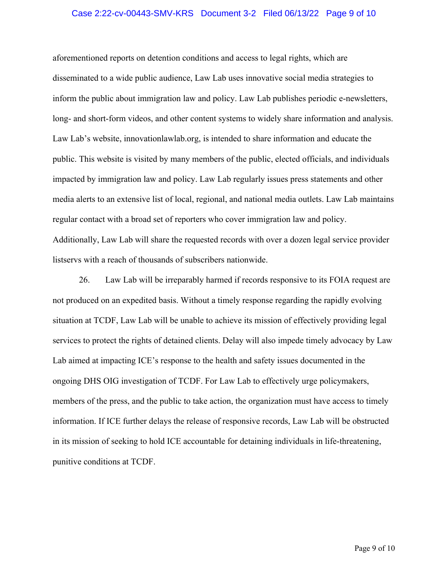#### Case 2:22-cv-00443-SMV-KRS Document 3-2 Filed 06/13/22 Page 9 of 10

aforementioned reports on detention conditions and access to legal rights, which are disseminated to a wide public audience, Law Lab uses innovative social media strategies to inform the public about immigration law and policy. Law Lab publishes periodic e-newsletters, long- and short-form videos, and other content systems to widely share information and analysis. Law Lab's website, innovationlawlab.org, is intended to share information and educate the public. This website is visited by many members of the public, elected officials, and individuals impacted by immigration law and policy. Law Lab regularly issues press statements and other media alerts to an extensive list of local, regional, and national media outlets. Law Lab maintains regular contact with a broad set of reporters who cover immigration law and policy. Additionally, Law Lab will share the requested records with over a dozen legal service provider listservs with a reach of thousands of subscribers nationwide.

26. Law Lab will be irreparably harmed if records responsive to its FOIA request are not produced on an expedited basis. Without a timely response regarding the rapidly evolving situation at TCDF, Law Lab will be unable to achieve its mission of effectively providing legal services to protect the rights of detained clients. Delay will also impede timely advocacy by Law Lab aimed at impacting ICE's response to the health and safety issues documented in the ongoing DHS OIG investigation of TCDF. For Law Lab to effectively urge policymakers, members of the press, and the public to take action, the organization must have access to timely information. If ICE further delays the release of responsive records, Law Lab will be obstructed in its mission of seeking to hold ICE accountable for detaining individuals in life-threatening, punitive conditions at TCDF.